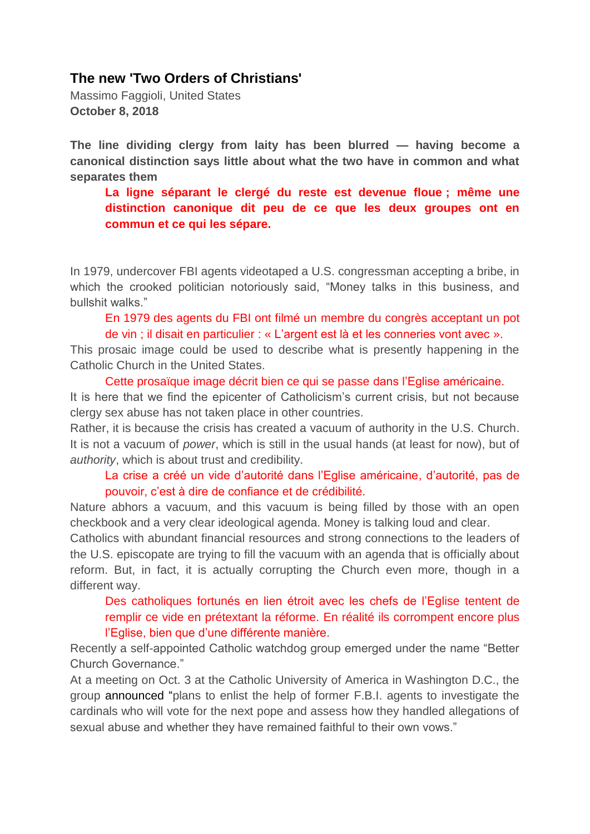# **The new 'Two Orders of Christians'**

Massimo Faggioli, United States **October 8, 2018** 

**The line dividing clergy from laity has been blurred — having become a canonical distinction says little about what the two have in common and what separates them** 

**La ligne séparant le clergé du reste est devenue floue ; même une distinction canonique dit peu de ce que les deux groupes ont en commun et ce qui les sépare.**

In 1979, undercover FBI agents videotaped a U.S. congressman accepting a bribe, in which the crooked politician notoriously said, "Money talks in this business, and bullshit walks."

En 1979 des agents du FBI ont filmé un membre du congrès acceptant un pot de vin ; il disait en particulier : « L'argent est là et les conneries vont avec ».

This prosaic image could be used to describe what is presently happening in the Catholic Church in the United States.

Cette prosaïque image décrit bien ce qui se passe dans l'Eglise américaine.

It is here that we find the epicenter of Catholicism's current crisis, but not because clergy sex abuse has not taken place in other countries.

Rather, it is because the crisis has created a vacuum of authority in the U.S. Church. It is not a vacuum of *power*, which is still in the usual hands (at least for now), but of *authority*, which is about trust and credibility.

#### La crise a créé un vide d'autorité dans l'Eglise américaine, d'autorité, pas de pouvoir, c'est à dire de confiance et de crédibilité.

Nature abhors a vacuum, and this vacuum is being filled by those with an open checkbook and a very clear ideological agenda. Money is talking loud and clear.

Catholics with abundant financial resources and strong connections to the leaders of the U.S. episcopate are trying to fill the vacuum with an agenda that is officially about reform. But, in fact, it is actually corrupting the Church even more, though in a different way.

Des catholiques fortunés en lien étroit avec les chefs de l'Eglise tentent de remplir ce vide en prétextant la réforme. En réalité ils corrompent encore plus l'Eglise, bien que d'une différente manière.

Recently a self-appointed Catholic watchdog group emerged under the name "Better Church Governance."

At a meeting on Oct. 3 at the Catholic University of America in Washington D.C., the group [announced](https://www.americamagazine.org/faith/2018/10/03/red-hat-report-founders-vow-investigate-and-score-cardinals-deny-policy-agenda.) "plans to enlist the help of former F.B.I. agents to investigate the cardinals who will vote for the next pope and assess how they handled allegations of sexual abuse and whether they have remained faithful to their own vows."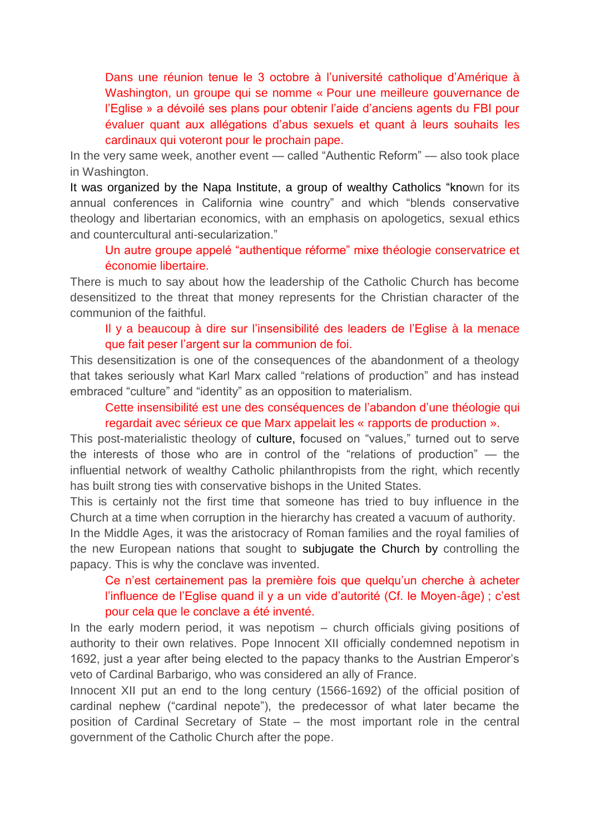Dans une réunion tenue le 3 octobre à l'université catholique d'Amérique à Washington, un groupe qui se nomme « Pour une meilleure gouvernance de l'Eglise » a dévoilé ses plans pour obtenir l'aide d'anciens agents du FBI pour évaluer quant aux allégations d'abus sexuels et quant à leurs souhaits les cardinaux qui voteront pour le prochain pape.

In the very same week, another event — called "Authentic Reform" — also took place in Washington.

It was organized by the Napa Institute, a group of [wealthy Catholics](https://www.ncronline.org/news/accountability/authentic-reform-conservative-catholics-rally-fix-church-failures.) "known for its annual conferences in California wine country" and which "blends conservative theology and libertarian economics, with an emphasis on apologetics, sexual ethics and countercultural anti-secularization."

Un autre groupe appelé "authentique réforme" mixe théologie conservatrice et économie libertaire.

There is much to say about how the leadership of the Catholic Church has become desensitized to the threat that money represents for the Christian character of the communion of the faithful.

Il y a beaucoup à dire sur l'insensibilité des leaders de l'Eglise à la menace que fait peser l'argent sur la communion de foi.

This desensitization is one of the consequences of the abandonment of a theology that takes seriously what Karl Marx called "relations of production" and has instead embraced "culture" and "identity" as an opposition to materialism.

Cette insensibilité est une des conséquences de l'abandon d'une théologie qui regardait avec sérieux ce que Marx appelait les « rapports de production ».

This post-materialistic theology of [culture,](https://www.commonwealmagazine.org/business-class) focused on "values," turned out to serve the interests of those who are in control of the "relations of production" — the influential network of wealthy Catholic philanthropists from the right, which recently has built strong ties with conservative bishops in the United States.

This is certainly not the first time that someone has tried to buy influence in the Church at a time when corruption in the hierarchy has created a vacuum of authority.

In the Middle Ages, it was the aristocracy of Roman families and the royal families of the new European nations that sought to [subjugate the Church](https://international.la-croix.com/news/inverting-the-course-clericalism-centralization-and-church-reform/8378) by controlling the papacy. This is why the conclave was invented.

Ce n'est certainement pas la première fois que quelqu'un cherche à acheter l'influence de l'Eglise quand il y a un vide d'autorité (Cf. le Moyen-âge) ; c'est pour cela que le conclave a été inventé.

In the early modern period, it was nepotism – church officials giving positions of authority to their own relatives. Pope Innocent XII officially condemned nepotism in 1692, just a year after being elected to the papacy thanks to the Austrian Emperor's veto of Cardinal Barbarigo, who was considered an ally of France.

Innocent XII put an end to the long century (1566-1692) of the official position of cardinal nephew ("cardinal nepote"), the predecessor of what later became the position of Cardinal Secretary of State – the most important role in the central government of the Catholic Church after the pope.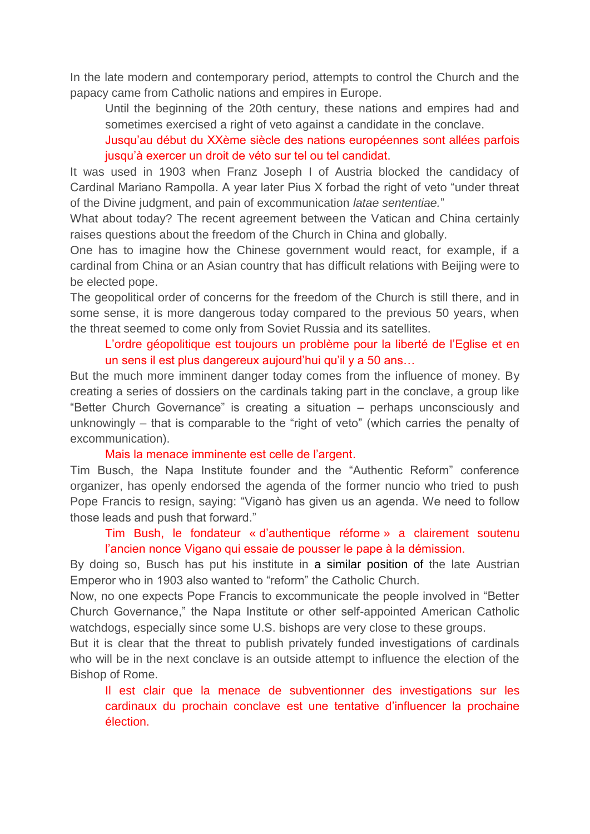In the late modern and contemporary period, attempts to control the Church and the papacy came from Catholic nations and empires in Europe.

Until the beginning of the 20th century, these nations and empires had and sometimes exercised a right of veto against a candidate in the conclave.

Jusqu'au début du XXème siècle des nations européennes sont allées parfois jusqu'à exercer un droit de véto sur tel ou tel candidat.

It was used in 1903 when Franz Joseph I of Austria blocked the candidacy of Cardinal Mariano Rampolla. A year later Pius X forbad the right of veto "under threat of the Divine judgment, and pain of excommunication *latae sententiae.*"

What about today? The recent agreement between the Vatican and China certainly raises questions about the freedom of the Church in China and globally.

One has to imagine how the Chinese government would react, for example, if a cardinal from China or an Asian country that has difficult relations with Beijing were to be elected pope.

The geopolitical order of concerns for the freedom of the Church is still there, and in some sense, it is more dangerous today compared to the previous 50 years, when the threat seemed to come only from Soviet Russia and its satellites.

## L'ordre géopolitique est toujours un problème pour la liberté de l'Eglise et en un sens il est plus dangereux aujourd'hui qu'il y a 50 ans…

But the much more imminent danger today comes from the influence of money. By creating a series of dossiers on the cardinals taking part in the conclave, a group like "Better Church Governance" is creating a situation – perhaps unconsciously and unknowingly – that is comparable to the "right of veto" (which carries the penalty of excommunication).

#### Mais la menace imminente est celle de l'argent.

Tim Busch, the Napa Institute founder and the "Authentic Reform" conference organizer, has openly endorsed the agenda of the former nuncio who tried to push Pope Francis to resign, saying: "Viganò has given us an agenda. We need to follow those leads and push that forward."

### Tim Bush, le fondateur « d'authentique réforme » a clairement soutenu l'ancien nonce Vigano qui essaie de pousser le pape à la démission.

By doing so, Busch has put his institute in a [similar position](https://www.ncronline.org/news/accountability/authentic-reform-conservative-catholics-rally-fix-church-failures) of the late Austrian Emperor who in 1903 also wanted to "reform" the Catholic Church.

Now, no one expects Pope Francis to excommunicate the people involved in "Better Church Governance," the Napa Institute or other self-appointed American Catholic watchdogs, especially since some U.S. bishops are very close to these groups.

But it is clear that the threat to publish privately funded investigations of cardinals who will be in the next conclave is an outside attempt to influence the election of the Bishop of Rome.

Il est clair que la menace de subventionner des investigations sur les cardinaux du prochain conclave est une tentative d'influencer la prochaine élection.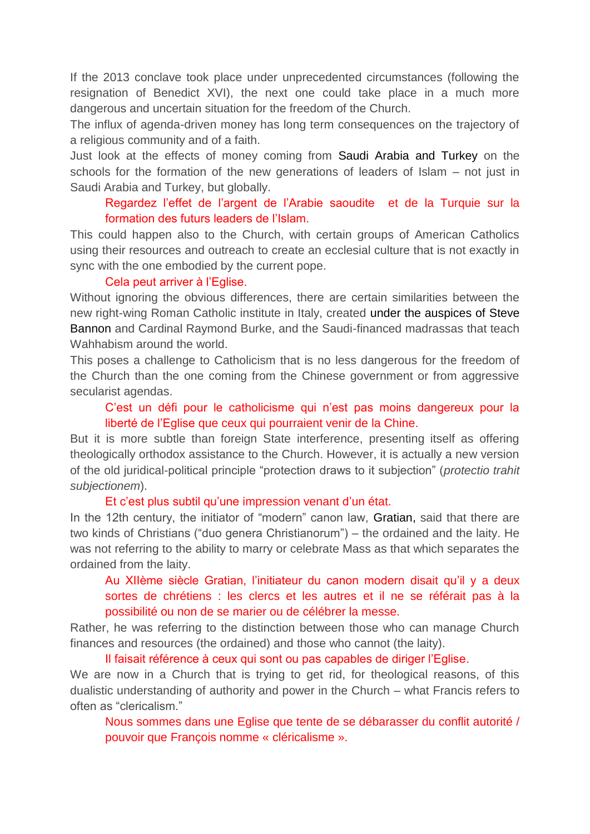If the 2013 conclave took place under unprecedented circumstances (following the resignation of Benedict XVI), the next one could take place in a much more dangerous and uncertain situation for the freedom of the Church.

The influx of agenda-driven money has long term consequences on the trajectory of a religious community and of a faith.

Just look at the effects of money coming from [Saudi Arabia](https://www.theatlantic.com/international/archive/2017/03/saudi-arabia-salman-visit-indonesia/518310/) and [Turkey](https://carnegieendowment.org/2014/01/27/turkey-s-religious-outreach-in-central-asia-and-caucasus-pub-54357) on the schools for the formation of the new generations of leaders of Islam – not just in Saudi Arabia and Turkey, but globally.

### Regardez l'effet de l'argent de l'Arabie saoudite et de la Turquie sur la formation des futurs leaders de l'Islam.

This could happen also to the Church, with certain groups of American Catholics using their resources and outreach to create an ecclesial culture that is not exactly in sync with the one embodied by the current pope.

#### Cela peut arriver à l'Eglise.

Without ignoring the obvious differences, there are certain similarities between the new right-wing Roman Catholic institute in Italy, created under the auspices of [Steve](https://www.reuters.com/article/us-eu-politics-bannon-catholics/steve-bannon-drafting-curriculum-for-right-wing-catholic-institute-in-italy-idUSKCN1LU176)  [Bannon](https://www.reuters.com/article/us-eu-politics-bannon-catholics/steve-bannon-drafting-curriculum-for-right-wing-catholic-institute-in-italy-idUSKCN1LU176) and Cardinal Raymond Burke, and the Saudi-financed madrassas that teach Wahhabism around the world.

This poses a challenge to Catholicism that is no less dangerous for the freedom of the Church than the one coming from the Chinese government or from aggressive secularist agendas.

### C'est un défi pour le catholicisme qui n'est pas moins dangereux pour la liberté de l'Eglise que ceux qui pourraient venir de la Chine.

But it is more subtle than foreign State interference, presenting itself as offering theologically orthodox assistance to the Church. However, it is actually a new version of the old juridical-political principle "protection draws to it subjection" (*protectio trahit subjectionem*).

### Et c'est plus subtil qu'une impression venant d'un état.

In the 12th century, the initiator of "modern" canon law, [Gratian,](https://www.britannica.com/topic/Gratians-Decretum) said that there are two kinds of Christians ("duo genera Christianorum") – the ordained and the laity. He was not referring to the ability to marry or celebrate Mass as that which separates the ordained from the laity.

Au XIIème siècle Gratian, l'initiateur du canon modern disait qu'il y a deux sortes de chrétiens : les clercs et les autres et il ne se référait pas à la possibilité ou non de se marier ou de célébrer la messe.

Rather, he was referring to the distinction between those who can manage Church finances and resources (the ordained) and those who cannot (the laity).

#### Il faisait référence à ceux qui sont ou pas capables de diriger l'Eglise.

We are now in a Church that is trying to get rid, for theological reasons, of this dualistic understanding of authority and power in the Church – what Francis refers to often as "clericalism."

Nous sommes dans une Eglise que tente de se débarasser du conflit autorité / pouvoir que François nomme « cléricalisme ».